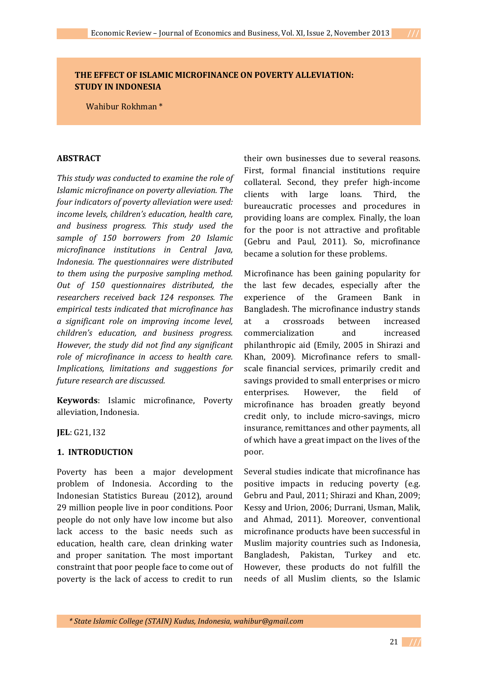# **THE EFFECT OF ISLAMIC MICROFINANCE ON POVERTY ALLEVIATION: STUDY IN INDONESIA**

Wahibur Rokhman \*

## **ABSTRACT**

*This study was conducted to examine the role of Islamic microfinance on poverty alleviation. The four indicators of poverty alleviation were used: income levels, children's education, health care, and business progress. This study used the sample of 150 borrowers from 20 Islamic microfinance institutions in Central Java, Indonesia. The questionnaires were distributed to them using the purposive sampling method. Out of 150 questionnaires distributed, the researchers received back 124 responses. The empirical tests indicated that microfinance has a significant role on improving income level, children's education, and business progress. However, the study did not find any significant role of microfinance in access to health care. Implications, limitations and suggestions for future research are discussed.* 

**Keywords**: Islamic microfinance, Poverty alleviation, Indonesia.

**JEL**: G21, I32

## **1. INTRODUCTION**

Poverty has been a major development problem of Indonesia. According to the Indonesian Statistics Bureau (2012), around 29 million people live in poor conditions. Poor people do not only have low income but also lack access to the basic needs such as education, health care, clean drinking water and proper sanitation. The most important constraint that poor people face to come out of poverty is the lack of access to credit to run their own businesses due to several reasons. First, formal financial institutions require collateral. Second, they prefer high-income clients with large loans. Third, the bureaucratic processes and procedures in providing loans are complex. Finally, the loan for the poor is not attractive and profitable (Gebru and Paul, 2011). So, microfinance became a solution for these problems.

Microfinance has been gaining popularity for the last few decades, especially after the experience of the Grameen Bank in Bangladesh. The microfinance industry stands at a crossroads between increased commercialization and increased philanthropic aid (Emily, 2005 in Shirazi and Khan, 2009). Microfinance refers to smallscale financial services, primarily credit and savings provided to small enterprises or micro enterprises. However, the field of microfinance has broaden greatly beyond credit only, to include micro-savings, micro insurance, remittances and other payments, all of which have a great impact on the lives of the poor.

Several studies indicate that microfinance has positive impacts in reducing poverty (e.g. Gebru and Paul, 2011; Shirazi and Khan, 2009; Kessy and Urion, 2006; Durrani, Usman, Malik, and Ahmad, 2011). Moreover, conventional microfinance products have been successful in Muslim majority countries such as Indonesia, Bangladesh, Pakistan, Turkey and etc. However, these products do not fulfill the needs of all Muslim clients, so the Islamic

 *\* State Islamic College (STAIN) Kudus, Indonesia, wahibur@gmail.com*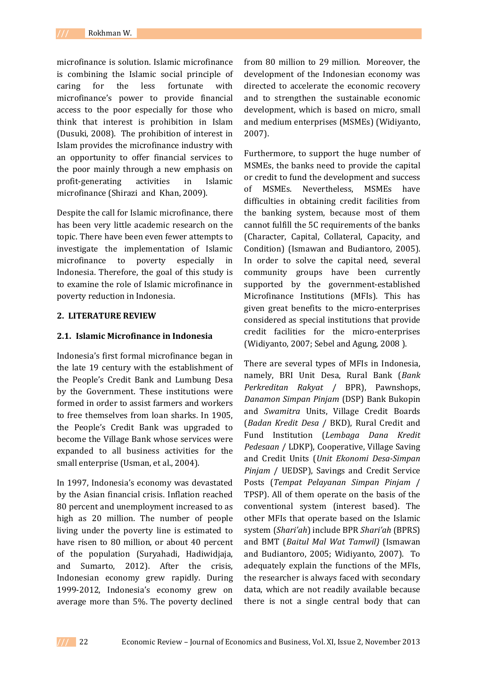microfinance is solution. Islamic microfinance is combining the Islamic social principle of caring for the less fortunate with microfinance's power to provide financial access to the poor especially for those who think that interest is prohibition in Islam (Dusuki, 2008). The prohibition of interest in Islam provides the microfinance industry with an opportunity to offer financial services to the poor mainly through a new emphasis on profit-generating activities in Islamic microfinance (Shirazi and Khan, 2009).

Despite the call for Islamic microfinance, there has been very little academic research on the topic. There have been even fewer attempts to investigate the implementation of Islamic microfinance to poverty especially in Indonesia. Therefore, the goal of this study is to examine the role of Islamic microfinance in poverty reduction in Indonesia.

## **2. LITERATURE REVIEW**

## **2.1. Islamic Microfinance in Indonesia**

Indonesia's first formal microfinance began in the late 19 century with the establishment of the People's Credit Bank and Lumbung Desa by the Government. These institutions were formed in order to assist farmers and workers to free themselves from loan sharks. In 1905, the People's Credit Bank was upgraded to become the Village Bank whose services were expanded to all business activities for the small enterprise (Usman, et al., 2004).

In 1997, Indonesia's economy was devastated by the Asian financial crisis. Inflation reached 80 percent and unemployment increased to as high as 20 million. The number of people living under the poverty line is estimated to have risen to 80 million, or about 40 percent of the population (Suryahadi, Hadiwidjaja, and Sumarto, 2012). After the crisis, Indonesian economy grew rapidly. During 1999-2012, Indonesia's economy grew on average more than 5%. The poverty declined

from 80 million to 29 million. Moreover, the development of the Indonesian economy was directed to accelerate the economic recovery and to strengthen the sustainable economic development, which is based on micro, small and medium enterprises (MSMEs) (Widiyanto, 2007).

Furthermore, to support the huge number of MSMEs, the banks need to provide the capital or credit to fund the development and success of MSMEs. Nevertheless, MSMEs have difficulties in obtaining credit facilities from the banking system, because most of them cannot fulfill the 5C requirements of the banks (Character, Capital, Collateral, Capacity, and Condition) (Ismawan and Budiantoro, 2005). In order to solve the capital need, several community groups have been currently supported by the government-established Microfinance Institutions (MFIs). This has given great benefits to the micro-enterprises considered as special institutions that provide credit facilities for the micro-enterprises (Widiyanto, 2007; Sebel and Agung, 2008 ).

There are several types of MFIs in Indonesia, namely, BRI Unit Desa, Rural Bank (*Bank Perkreditan Rakyat* / BPR), Pawnshops, *Danamon Simpan Pinjam* (DSP) Bank Bukopin and *Swamitra* Units, Village Credit Boards (*Badan Kredit Desa* / BKD), Rural Credit and Fund Institution (*Lembaga Dana Kredit Pedesaan* / LDKP), Cooperative, Village Saving and Credit Units (*Unit Ekonomi Desa-Simpan Pinjam* / UEDSP), Savings and Credit Service Posts (*Tempat Pelayanan Simpan Pinjam* / TPSP). All of them operate on the basis of the conventional system (interest based). The other MFIs that operate based on the Islamic system (*Shari'ah*) include BPR *Shari'ah* (BPRS) and BMT (*Baitul Mal Wat Tamwil)* (Ismawan and Budiantoro, 2005; Widiyanto, 2007). To adequately explain the functions of the MFIs, the researcher is always faced with secondary data, which are not readily available because there is not a single central body that can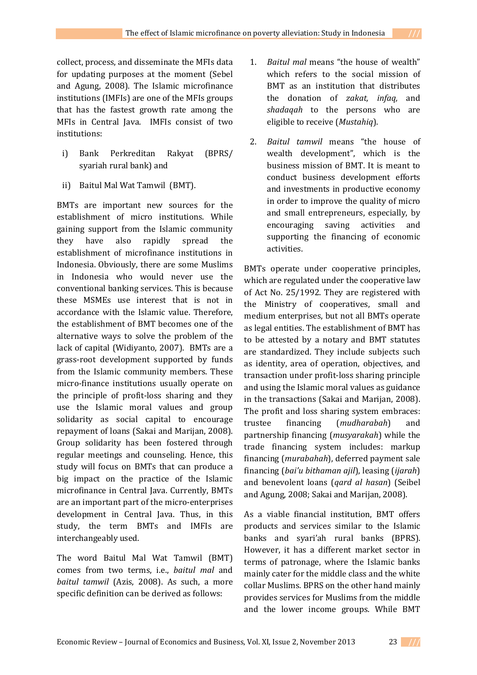collect, process, and disseminate the MFIs data for updating purposes at the moment (Sebel and Agung, 2008). The Islamic microfinance institutions (IMFIs) are one of the MFIs groups that has the fastest growth rate among the MFIs in Central Java. IMFIs consist of two institutions:

- i) Bank Perkreditan Rakyat (BPRS/ syariah rural bank) and
- ii) Baitul Mal Wat Tamwil (BMT).

BMTs are important new sources for the establishment of micro institutions. While gaining support from the Islamic community they have also rapidly spread the establishment of microfinance institutions in Indonesia. Obviously, there are some Muslims in Indonesia who would never use the conventional banking services. This is because these MSMEs use interest that is not in accordance with the Islamic value. Therefore, the establishment of BMT becomes one of the alternative ways to solve the problem of the lack of capital (Widiyanto, 2007). BMTs are a grass-root development supported by funds from the Islamic community members. These micro-finance institutions usually operate on the principle of profit-loss sharing and they use the Islamic moral values and group solidarity as social capital to encourage repayment of loans (Sakai and Marijan, 2008). Group solidarity has been fostered through regular meetings and counseling. Hence, this study will focus on BMTs that can produce a big impact on the practice of the Islamic microfinance in Central Java. Currently, BMTs are an important part of the micro-enterprises development in Central Java. Thus, in this study, the term BMTs and IMFIs are interchangeably used.

The word Baitul Mal Wat Tamwil (BMT) comes from two terms, i.e., *baitul mal* and *baitul tamwil* (Azis, 2008). As such, a more specific definition can be derived as follows:

- 1. *Baitul mal* means "the house of wealth" which refers to the social mission of BMT as an institution that distributes the donation of *zakat, infaq,* and *shadaqah* to the persons who are eligible to receive (*Mustahiq*).
- 2. *Baitul tamwil* means "the house of wealth development", which is the business mission of BMT. It is meant to conduct business development efforts and investments in productive economy in order to improve the quality of micro and small entrepreneurs, especially, by encouraging saving activities and supporting the financing of economic activities.

BMTs operate under cooperative principles, which are regulated under the cooperative law of Act No. 25/1992. They are registered with the Ministry of cooperatives, small and medium enterprises, but not all BMTs operate as legal entities. The establishment of BMT has to be attested by a notary and BMT statutes are standardized. They include subjects such as identity, area of operation, objectives, and transaction under profit-loss sharing principle and using the Islamic moral values as guidance in the transactions (Sakai and Marijan, 2008). The profit and loss sharing system embraces: trustee financing (*mudharabah*) and partnership financing (*musyarakah*) while the trade financing system includes: markup financing (*murabahah*), deferred payment sale financing (*bai'u bithaman ajil*), leasing (*ijarah*) and benevolent loans (*qard al hasan*) (Seibel and Agung, 2008; Sakai and Marijan, 2008).

As a viable financial institution, BMT offers products and services similar to the Islamic banks and syari'ah rural banks (BPRS). However, it has a different market sector in terms of patronage, where the Islamic banks mainly cater for the middle class and the white collar Muslims. BPRS on the other hand mainly provides services for Muslims from the middle and the lower income groups. While BMT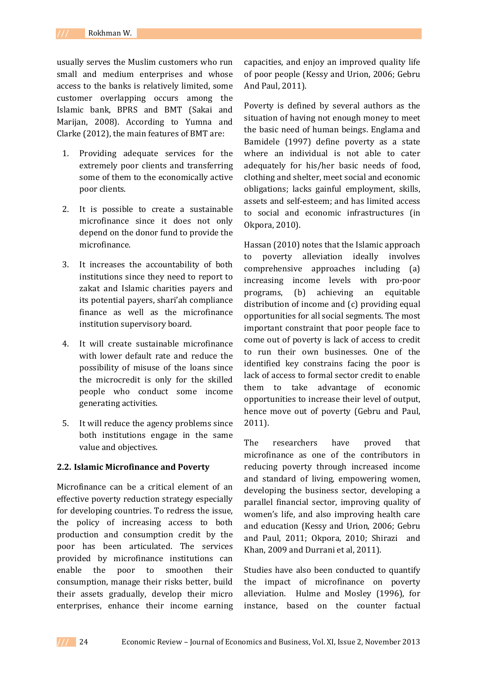usually serves the Muslim customers who run small and medium enterprises and whose access to the banks is relatively limited, some customer overlapping occurs among the Islamic bank, BPRS and BMT (Sakai and Marijan, 2008). According to Yumna and Clarke (2012), the main features of BMT are:

- 1. Providing adequate services for the extremely poor clients and transferring some of them to the economically active poor clients.
- 2. It is possible to create a sustainable microfinance since it does not only depend on the donor fund to provide the microfinance.
- 3. It increases the accountability of both institutions since they need to report to zakat and Islamic charities payers and its potential payers, shari'ah compliance finance as well as the microfinance institution supervisory board.
- 4. It will create sustainable microfinance with lower default rate and reduce the possibility of misuse of the loans since the microcredit is only for the skilled people who conduct some income generating activities.
- 5. It will reduce the agency problems since both institutions engage in the same value and objectives.

## **2.2. Islamic Microfinance and Poverty**

Microfinance can be a critical element of an effective poverty reduction strategy especially for developing countries. To redress the issue, the policy of increasing access to both production and consumption credit by the poor has been articulated. The services provided by microfinance institutions can enable the poor to smoothen their consumption, manage their risks better, build their assets gradually, develop their micro enterprises, enhance their income earning

capacities, and enjoy an improved quality life of poor people (Kessy and Urion, 2006; Gebru And Paul, 2011).

Poverty is defined by several authors as the situation of having not enough money to meet the basic need of human beings. Englama and Bamidele (1997) define poverty as a state where an individual is not able to cater adequately for his/her basic needs of food, clothing and shelter, meet social and economic obligations; lacks gainful employment, skills, assets and self-esteem; and has limited access to social and economic infrastructures (in Okpora, 2010).

Hassan (2010) notes that the Islamic approach to poverty alleviation ideally involves comprehensive approaches including (a) increasing income levels with pro-poor programs, (b) achieving an equitable distribution of income and (c) providing equal opportunities for all social segments. The most important constraint that poor people face to come out of poverty is lack of access to credit to run their own businesses. One of the identified key constrains facing the poor is lack of access to formal sector credit to enable them to take advantage of economic opportunities to increase their level of output, hence move out of poverty (Gebru and Paul, 2011).

The researchers have proved that microfinance as one of the contributors in reducing poverty through increased income and standard of living, empowering women, developing the business sector, developing a parallel financial sector, improving quality of women's life, and also improving health care and education (Kessy and Urion, 2006; Gebru and Paul, 2011; Okpora, 2010; Shirazi and Khan, 2009 and Durrani et al, 2011).

Studies have also been conducted to quantify the impact of microfinance on poverty alleviation. Hulme and Mosley (1996), for instance, based on the counter factual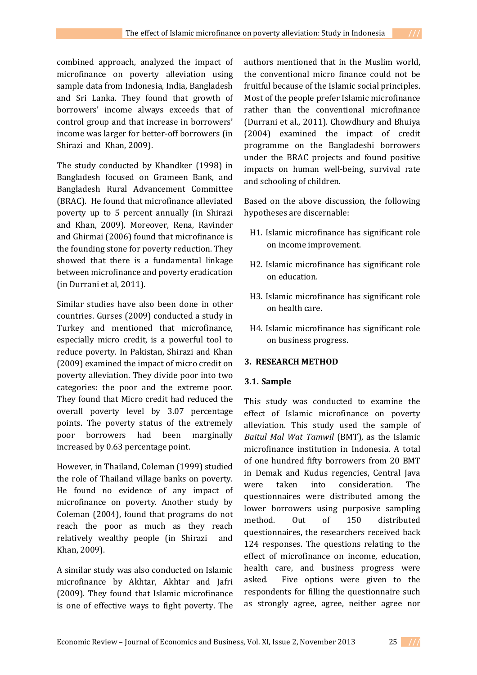combined approach, analyzed the impact of microfinance on poverty alleviation using sample data from Indonesia, India, Bangladesh and Sri Lanka. They found that growth of borrowers' income always exceeds that of control group and that increase in borrowers' income was larger for better-off borrowers (in Shirazi and Khan, 2009).

The study conducted by Khandker (1998) in Bangladesh focused on Grameen Bank, and Bangladesh Rural Advancement Committee (BRAC). He found that microfinance alleviated poverty up to 5 percent annually (in Shirazi and Khan, 2009). Moreover, Rena, Ravinder and Ghirmai (2006) found that microfinance is the founding stone for poverty reduction. They showed that there is a fundamental linkage between microfinance and poverty eradication (in Durrani et al, 2011).

Similar studies have also been done in other countries. Gurses (2009) conducted a study in Turkey and mentioned that microfinance, especially micro credit, is a powerful tool to reduce poverty. In Pakistan, Shirazi and Khan (2009) examined the impact of micro credit on poverty alleviation. They divide poor into two categories: the poor and the extreme poor. They found that Micro credit had reduced the overall poverty level by 3.07 percentage points. The poverty status of the extremely poor borrowers had been marginally increased by 0.63 percentage point.

However, in Thailand, Coleman (1999) studied the role of Thailand village banks on poverty. He found no evidence of any impact of microfinance on poverty. Another study by Coleman (2004), found that programs do not reach the poor as much as they reach relatively wealthy people (in Shirazi and Khan, 2009).

A similar study was also conducted on Islamic microfinance by Akhtar, Akhtar and Jafri (2009). They found that Islamic microfinance is one of effective ways to fight poverty. The

authors mentioned that in the Muslim world, the conventional micro finance could not be fruitful because of the Islamic social principles. Most of the people prefer Islamic microfinance rather than the conventional microfinance (Durrani et al., 2011). Chowdhury and Bhuiya (2004) examined the impact of credit programme on the Bangladeshi borrowers under the BRAC projects and found positive impacts on human well-being, survival rate and schooling of children.

Based on the above discussion, the following hypotheses are discernable:

- H1. Islamic microfinance has significant role on income improvement.
- H2. Islamic microfinance has significant role on education.
- H3. Islamic microfinance has significant role on health care.
- H4. Islamic microfinance has significant role on business progress.

# **3. RESEARCH METHOD**

# **3.1. Sample**

This study was conducted to examine the effect of Islamic microfinance on poverty alleviation. This study used the sample of *Baitul Mal Wat Tamwil* (BMT), as the Islamic microfinance institution in Indonesia. A total of one hundred fifty borrowers from 20 BMT in Demak and Kudus regencies, Central Java were taken into consideration. The questionnaires were distributed among the lower borrowers using purposive sampling method. Out of 150 distributed questionnaires, the researchers received back 124 responses. The questions relating to the effect of microfinance on income, education, health care, and business progress were asked. Five options were given to the respondents for filling the questionnaire such as strongly agree, agree, neither agree nor

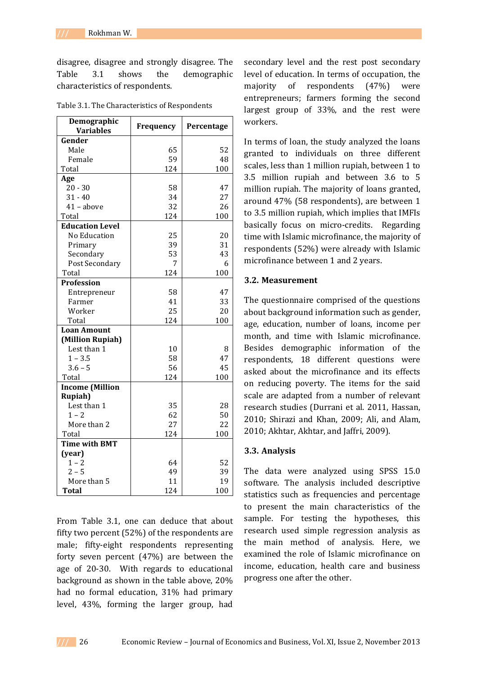disagree, disagree and strongly disagree. The Table 3.1 shows the demographic characteristics of respondents.

| Demographic<br><b>Variables</b> | Frequency | Percentage |
|---------------------------------|-----------|------------|
| Gender                          |           |            |
| Male                            | 65        | 52         |
| Female                          | 59        | 48         |
| Total                           | 124       | 100        |
| Age                             |           |            |
| $20 - 30$                       | 58        | 47         |
| $31 - 40$                       | 34        | 27         |
| $41 - above$                    | 32        | 26         |
| Total                           | 124       | 100        |
| <b>Education Level</b>          |           |            |
| No Education                    | 25        | 20         |
| Primary                         | 39        | 31         |
| Secondary                       | 53        | 43         |
| Post Secondary                  | 7         | 6          |
| Total                           | 124       | 100        |
| <b>Profession</b>               |           |            |
| Entrepreneur                    | 58        | 47         |
| Farmer                          | 41        | 33         |
| Worker                          | 25        | 20         |
| Total                           | 124       | 100        |
| <b>Loan Amount</b>              |           |            |
| (Million Rupiah)                |           |            |
| Lest than 1                     | 10        | 8          |
| $1 - 3.5$                       | 58        | 47         |
| $3.6 - 5$                       | 56        | 45         |
| Total                           | 124       | 100        |
| <b>Income (Million</b>          |           |            |
| <b>Rupiah</b> )                 |           |            |
| Lest than 1                     | 35        | 28         |
| $1 - 2$                         | 62        | 50         |
| More than 2                     | 27        | 22         |
| Total                           | 124       | 100        |
| <b>Time with BMT</b>            |           |            |
| (year)                          |           |            |
| $1 - 2$                         | 64        | 52         |
| $2 - 5$                         | 49        | 39         |
| More than 5                     | 11        | 19         |
| <b>Total</b>                    | 124       | 100        |

Table 3.1. The Characteristics of Respondents

From Table 3.1, one can deduce that about fifty two percent (52%) of the respondents are male; fifty-eight respondents representing forty seven percent (47%) are between the age of 20-30. With regards to educational background as shown in the table above, 20% had no formal education, 31% had primary level, 43%, forming the larger group, had

secondary level and the rest post secondary level of education. In terms of occupation, the majority of respondents (47%) were entrepreneurs; farmers forming the second largest group of 33%, and the rest were workers.

In terms of loan, the study analyzed the loans granted to individuals on three different scales, less than 1 million rupiah, between 1 to 3.5 million rupiah and between 3.6 to 5 million rupiah. The majority of loans granted, around 47% (58 respondents), are between 1 to 3.5 million rupiah, which implies that IMFIs basically focus on micro-credits. Regarding time with Islamic microfinance, the majority of respondents (52%) were already with Islamic microfinance between 1 and 2 years.

#### **3.2. Measurement**

The questionnaire comprised of the questions about background information such as gender, age, education, number of loans, income per month, and time with Islamic microfinance. Besides demographic information of the respondents, 18 different questions were asked about the microfinance and its effects on reducing poverty. The items for the said scale are adapted from a number of relevant research studies (Durrani et al. 2011, Hassan, 2010; Shirazi and Khan, 2009; Ali, and Alam, 2010; Akhtar, Akhtar, and Jaffri, 2009).

#### **3.3. Analysis**

The data were analyzed using SPSS 15.0 software. The analysis included descriptive statistics such as frequencies and percentage to present the main characteristics of the sample. For testing the hypotheses, this research used simple regression analysis as the main method of analysis. Here, we examined the role of Islamic microfinance on income, education, health care and business progress one after the other.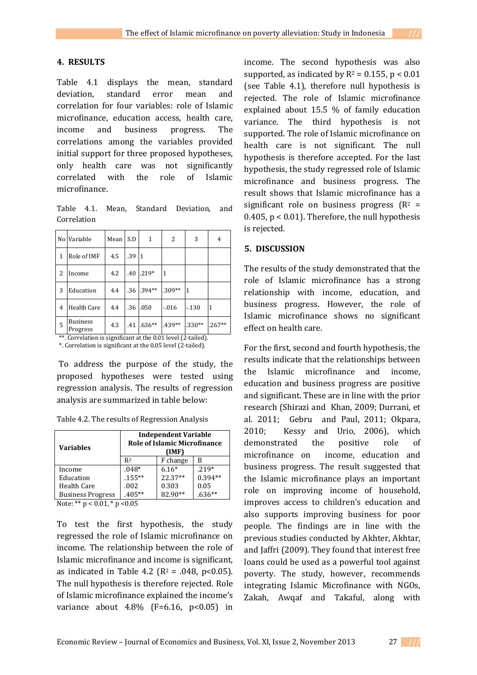## **4. RESULTS**

Table 4.1 displays the mean, standard deviation, standard error mean and correlation for four variables: role of Islamic microfinance, education access, health care, income and business progress. The correlations among the variables provided initial support for three proposed hypotheses, only health care was not significantly correlated with the role of Islamic microfinance.

Table 4.1. Mean, Standard Deviation, and Correlation

|                | No Variable                                                  | Mean | S.D | 1         | 2        | 3        | 4        |  |
|----------------|--------------------------------------------------------------|------|-----|-----------|----------|----------|----------|--|
| 1              | Role of IMF                                                  | 4.5  | .39 | $\vert$ 1 |          |          |          |  |
| 2              | Income                                                       | 4.2  | .40 | $.219*$   | 1        |          |          |  |
| 3              | Education                                                    | 4.4  | .36 | $.394**$  | $.309**$ | 1        |          |  |
| $\overline{4}$ | <b>Health Care</b>                                           | 4.4  | .36 | .050      | $-0.016$ | $-130$   | 1        |  |
| 5              | <b>Business</b><br>Progress                                  | 4.3  | .41 | $.636**$  | .439**   | $.330**$ | $.267**$ |  |
|                | **. Correlation is significant at the 0.01 level (2-tailed). |      |     |           |          |          |          |  |

\*. Correlation is significant at the 0.05 level (2-tailed).

To address the purpose of the study, the proposed hypotheses were tested using regression analysis. The results of regression analysis are summarized in table below:

Table 4.2. The results of Regression Analysis

| <b>Variables</b>                       | <b>Independent Variable</b><br><b>Role of Islamic Microfinance</b><br>(IMF) |          |           |  |  |  |
|----------------------------------------|-----------------------------------------------------------------------------|----------|-----------|--|--|--|
|                                        | R <sub>2</sub>                                                              | F change | В         |  |  |  |
| Income                                 | $.048*$                                                                     | $6.16*$  | $.219*$   |  |  |  |
| Education                              | $.155***$                                                                   | 22.37**  | $0.394**$ |  |  |  |
| Health Care                            | .002                                                                        | 0.303    | 0.05      |  |  |  |
| <b>Business Progress</b>               | $.405**$                                                                    | 82.90**  | $.636**$  |  |  |  |
| $N$ nte $\cdot$ ** n < 0.01 * n < 0.05 |                                                                             |          |           |  |  |  |

Note: \*\*  $p < 0.01$ , \*  $p < 0.05$ 

To test the first hypothesis, the study regressed the role of Islamic microfinance on income. The relationship between the role of Islamic microfinance and income is significant, as indicated in Table 4.2 ( $R^2$  = .048,  $p$ <0.05). The null hypothesis is therefore rejected. Role of Islamic microfinance explained the income's variance about  $4.8\%$  (F=6.16, p<0.05) in

income. The second hypothesis was also supported, as indicated by  $R^2 = 0.155$ ,  $p < 0.01$ (see Table 4.1), therefore null hypothesis is rejected. The role of Islamic microfinance explained about 15.5 % of family education variance. The third hypothesis is not supported. The role of Islamic microfinance on health care is not significant. The null hypothesis is therefore accepted. For the last hypothesis, the study regressed role of Islamic microfinance and business progress. The result shows that Islamic microfinance has a significant role on business progress  $(R^2 =$ 0.405,  $p < 0.01$ ). Therefore, the null hypothesis is rejected.

## **5. DISCUSSION**

The results of the study demonstrated that the role of Islamic microfinance has a strong relationship with income, education, and business progress. However, the role of Islamic microfinance shows no significant effect on health care.

For the first, second and fourth hypothesis, the results indicate that the relationships between the Islamic microfinance and income, education and business progress are positive and significant. These are in line with the prior research (Shirazi and Khan, 2009; Durrani, et al. 2011; Gebru and Paul, 2011; Okpara, 2010; Kessy and Urio, 2006), which demonstrated the positive role of microfinance on income, education and business progress. The result suggested that the Islamic microfinance plays an important role on improving income of household, improves access to children's education and also supports improving business for poor people. The findings are in line with the previous studies conducted by Akhter, Akhtar, and Jaffri (2009). They found that interest free loans could be used as a powerful tool against poverty. The study, however, recommends integrating Islamic Microfinance with NGOs, Zakah, Awqaf and Takaful, along with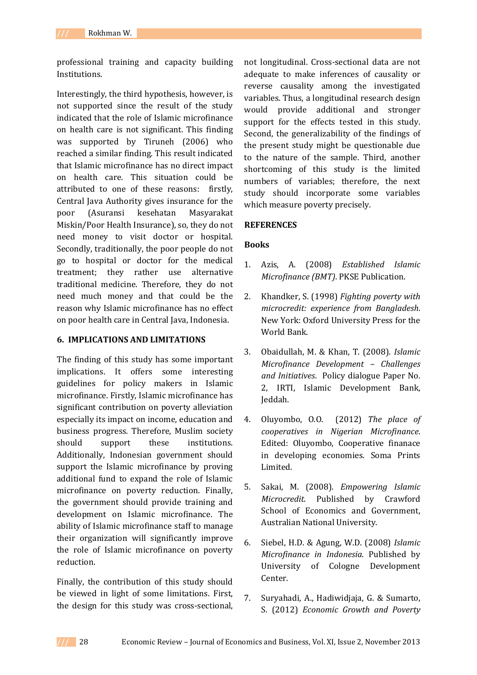professional training and capacity building Institutions.

Interestingly, the third hypothesis, however, is not supported since the result of the study indicated that the role of Islamic microfinance on health care is not significant. This finding was supported by Tiruneh (2006) who reached a similar finding. This result indicated that Islamic microfinance has no direct impact on health care. This situation could be attributed to one of these reasons: firstly, Central Java Authority gives insurance for the poor (Asuransi kesehatan Masyarakat Miskin/Poor Health Insurance), so, they do not need money to visit doctor or hospital. Secondly, traditionally, the poor people do not go to hospital or doctor for the medical treatment; they rather use alternative traditional medicine. Therefore, they do not need much money and that could be the reason why Islamic microfinance has no effect on poor health care in Central Java, Indonesia.

## **6. IMPLICATIONS AND LIMITATIONS**

The finding of this study has some important implications. It offers some interesting guidelines for policy makers in Islamic microfinance. Firstly, Islamic microfinance has significant contribution on poverty alleviation especially its impact on income, education and business progress. Therefore, Muslim society should support these institutions. Additionally, Indonesian government should support the Islamic microfinance by proving additional fund to expand the role of Islamic microfinance on poverty reduction. Finally, the government should provide training and development on Islamic microfinance. The ability of Islamic microfinance staff to manage their organization will significantly improve the role of Islamic microfinance on poverty reduction.

Finally, the contribution of this study should be viewed in light of some limitations. First, the design for this study was cross-sectional,

not longitudinal. Cross-sectional data are not adequate to make inferences of causality or reverse causality among the investigated variables. Thus, a longitudinal research design would provide additional and stronger support for the effects tested in this study. Second, the generalizability of the findings of the present study might be questionable due to the nature of the sample. Third, another shortcoming of this study is the limited numbers of variables; therefore, the next study should incorporate some variables which measure poverty precisely.

## **REFERENCES**

## **Books**

- 1. Azis, A. (2008) *Established Islamic Microfinance (BMT)*. PKSE Publication.
- 2. Khandker, S. (1998) *Fighting poverty with microcredit: experience from Bangladesh*. New York: Oxford University Press for the World Bank.
- 3. Obaidullah, M. & Khan, T. (2008). *Islamic Microfinance Development – Challenges and Initiatives*. Policy dialogue Paper No. 2, IRTI, Islamic Development Bank, Jeddah.
- 4. Oluyombo, O.O. (2012) *The place of cooperatives in Nigerian Microfinance*. Edited: Oluyombo, Cooperative finanace in developing economies. Soma Prints Limited.
- 5. Sakai, M. (2008). *Empowering Islamic Microcredit*. Published by Crawford School of Economics and Government, Australian National University.
- 6. Siebel, H.D. & Agung, W.D. (2008) *Islamic Microfinance in Indonesia*. Published by University of Cologne Development Center.
- 7. Suryahadi, A., Hadiwidjaja, G. & Sumarto, S. (2012) *Economic Growth and Poverty*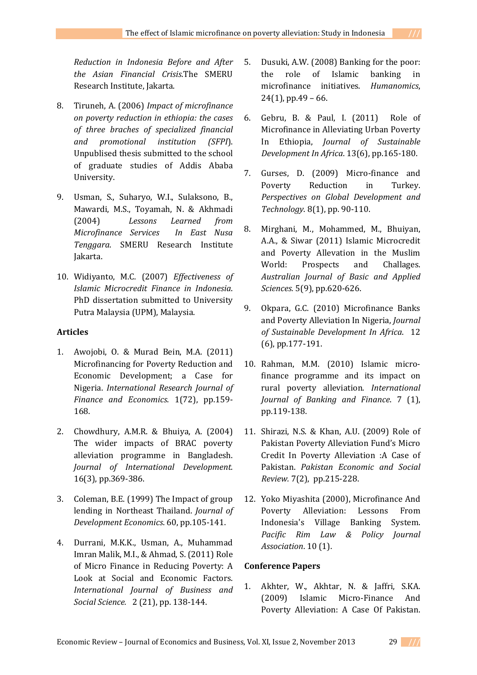*Reduction in Indonesia Before and After the Asian Financial Crisis*.The SMERU Research Institute, Jakarta.

- 8. Tiruneh, A. (2006) *Impact of microfinance on poverty reduction in ethiopia: the cases of three braches of specialized financial and promotional institution (SFPI*). Unpublised thesis submitted to the school of graduate studies of Addis Ababa University.
- 9. Usman, S., Suharyo, W.I., Sulaksono, B., Mawardi, M.S., Toyamah, N. & Akhmadi (2004) *Lessons Learned from Microfinance Services In East Nusa Tenggara*. SMERU Research Institute Jakarta.
- 10. Widiyanto, M.C. (2007) *Effectiveness of Islamic Microcredit Finance in Indonesia*. PhD dissertation submitted to University Putra Malaysia (UPM), Malaysia.

# **Articles**

- 1. Awojobi, O. & Murad Bein, M.A. (2011) Microfinancing for Poverty Reduction and Economic Development; a Case for Nigeria. *International Research Journal of Finance and Economics*. 1(72), pp.159- 168.
- 2. Chowdhury, A.M.R. & Bhuiya, A. (2004) The wider impacts of BRAC poverty alleviation programme in Bangladesh. *Journal of International Development.* 16(3), pp.369-386.
- 3. Coleman, B.E. (1999) The Impact of group lending in Northeast Thailand. *Journal of Development Economics*. 60, pp.105-141.
- 4. Durrani, M.K.K., Usman, A., Muhammad Imran Malik, M.I., & Ahmad, S. (2011) Role of Micro Finance in Reducing Poverty: A Look at Social and Economic Factors. *International Journal of Business and Social Science.* 2 (21), pp. 138-144.
- 5. Dusuki, A.W. (2008) Banking for the poor: the role of Islamic banking in microfinance initiatives. *Humanomics*,  $24(1)$ , pp.49 – 66.
- 6. Gebru, B. & Paul, I. (2011) Role of Microfinance in Alleviating Urban Poverty In Ethiopia, *Journal of Sustainable Development In Africa*. 13(6), pp.165-180.
- 7. Gurses, D. (2009) Micro-finance and Poverty Reduction in Turkey. *Perspectives on Global Development and Technology*. 8(1), pp. 90-110.
- 8. Mirghani, M., Mohammed, M., Bhuiyan, A.A., & Siwar (2011) Islamic Microcredit and Poverty Allevation in the Muslim World: Prospects and Challages. *Australian Journal of Basic and Applied Sciences.* 5(9), pp.620-626.
- 9. Okpara, G.C. (2010) Microfinance Banks and Poverty Alleviation In Nigeria, *Journal of Sustainable Development In Africa*. 12 (6), pp.177-191.
- 10. Rahman, M.M. (2010) Islamic microfinance programme and its impact on rural poverty alleviation. *International Journal of Banking and Finance*. 7 (1), pp.119-138.
- 11. Shirazi, N.S. & Khan, A.U. (2009) Role of Pakistan Poverty Alleviation Fund's Micro Credit In Poverty Alleviation :A Case of Pakistan. *Pakistan Economic and Social Review.* 7(2), pp.215-228.
- 12. Yoko Miyashita (2000), Microfinance And Poverty Alleviation: Lessons From Indonesia's Village Banking System. *Pacific Rim Law & Policy Journal Association*. 10 (1).

# **Conference Papers**

1. Akhter, W., Akhtar, N. & Jaffri, S.KA. (2009) Islamic Micro-Finance And Poverty Alleviation: A Case Of Pakistan.